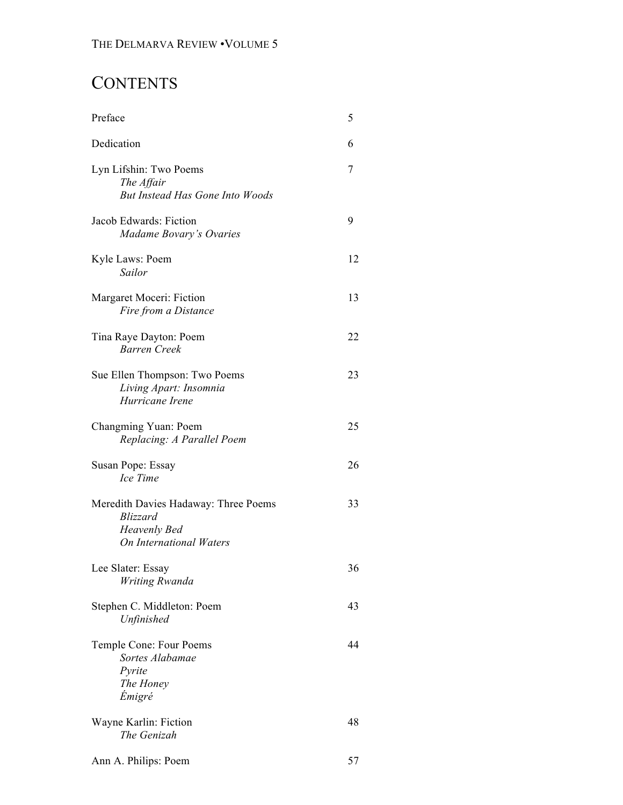# **CONTENTS**

| Preface                                                                                                          | 5  |
|------------------------------------------------------------------------------------------------------------------|----|
| Dedication                                                                                                       | 6  |
| Lyn Lifshin: Two Poems<br>The Affair<br><b>But Instead Has Gone Into Woods</b>                                   | 7  |
| Jacob Edwards: Fiction<br>Madame Bovary's Ovaries                                                                | 9  |
| Kyle Laws: Poem<br>Sailor                                                                                        | 12 |
| Margaret Moceri: Fiction<br>Fire from a Distance                                                                 | 13 |
| Tina Raye Dayton: Poem<br>Barren Creek                                                                           | 22 |
| Sue Ellen Thompson: Two Poems<br>Living Apart: Insomnia<br>Hurricane Irene                                       | 23 |
| Changming Yuan: Poem<br>Replacing: A Parallel Poem                                                               | 25 |
| Susan Pope: Essay<br>Ice Time                                                                                    | 26 |
| Meredith Davies Hadaway: Three Poems<br><b>Blizzard</b><br><b>Heavenly Bed</b><br><b>On International Waters</b> | 33 |
| Lee Slater: Essay<br>Writing Rwanda                                                                              | 36 |
| Stephen C. Middleton: Poem<br>Unfinished                                                                         | 43 |
| Temple Cone: Four Poems<br>Sortes Alabamae<br>Pyrite<br>The Honey<br><i>Émigré</i>                               | 44 |
| Wayne Karlin: Fiction<br>The Genizah                                                                             | 48 |
| Ann A. Philips: Poem                                                                                             | 57 |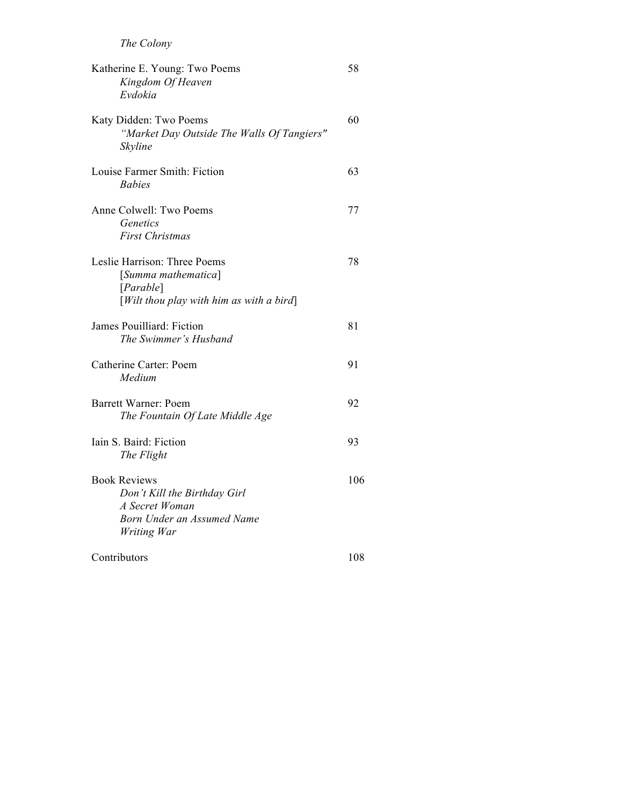| Katherine E. Young: Two Poems<br>Kingdom Of Heaven<br>Evdokia                                                                                | 58  |
|----------------------------------------------------------------------------------------------------------------------------------------------|-----|
| Katy Didden: Two Poems<br>"Market Day Outside The Walls Of Tangiers"<br>Skyline                                                              | 60  |
| Louise Farmer Smith: Fiction<br><b>Babies</b>                                                                                                | 63  |
| Anne Colwell: Two Poems<br>Genetics<br><b>First Christmas</b>                                                                                | 77  |
| Leslie Harrison: Three Poems<br>[Summa mathematica]<br>[Parable]<br>$[With the value of the image]$ [Wilt thou play with him as with a bird] | 78  |
| James Pouilliard: Fiction<br>The Swimmer's Husband                                                                                           | 81  |
| Catherine Carter: Poem<br>Medium                                                                                                             | 91  |
| Barrett Warner: Poem<br>The Fountain Of Late Middle Age                                                                                      | 92  |
| Iain S. Baird: Fiction<br>The Flight                                                                                                         | 93  |
| <b>Book Reviews</b><br>Don't Kill the Birthday Girl<br>A Secret Woman<br>Born Under an Assumed Name<br>Writing War                           | 106 |
| Contributors                                                                                                                                 | 108 |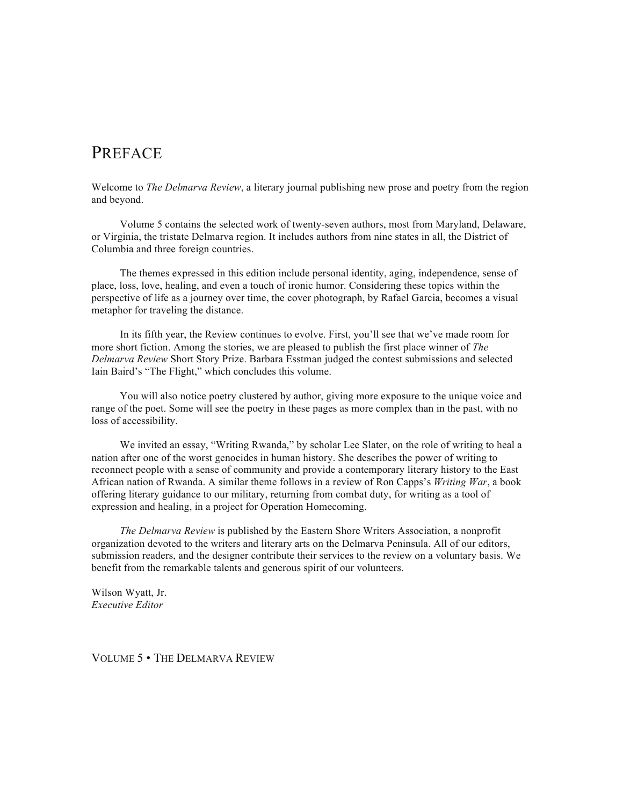### PREFACE

Welcome to *The Delmarva Review*, a literary journal publishing new prose and poetry from the region and beyond.

Volume 5 contains the selected work of twenty-seven authors, most from Maryland, Delaware, or Virginia, the tristate Delmarva region. It includes authors from nine states in all, the District of Columbia and three foreign countries.

The themes expressed in this edition include personal identity, aging, independence, sense of place, loss, love, healing, and even a touch of ironic humor. Considering these topics within the perspective of life as a journey over time, the cover photograph, by Rafael Garcia, becomes a visual metaphor for traveling the distance.

In its fifth year, the Review continues to evolve. First, you'll see that we've made room for more short fiction. Among the stories, we are pleased to publish the first place winner of *The Delmarva Review* Short Story Prize. Barbara Esstman judged the contest submissions and selected Iain Baird's "The Flight," which concludes this volume.

You will also notice poetry clustered by author, giving more exposure to the unique voice and range of the poet. Some will see the poetry in these pages as more complex than in the past, with no loss of accessibility.

We invited an essay, "Writing Rwanda," by scholar Lee Slater, on the role of writing to heal a nation after one of the worst genocides in human history. She describes the power of writing to reconnect people with a sense of community and provide a contemporary literary history to the East African nation of Rwanda. A similar theme follows in a review of Ron Capps's *Writing War*, a book offering literary guidance to our military, returning from combat duty, for writing as a tool of expression and healing, in a project for Operation Homecoming.

*The Delmarva Review* is published by the Eastern Shore Writers Association, a nonprofit organization devoted to the writers and literary arts on the Delmarva Peninsula. All of our editors, submission readers, and the designer contribute their services to the review on a voluntary basis. We benefit from the remarkable talents and generous spirit of our volunteers.

Wilson Wyatt, Jr. *Executive Editor*

VOLUME 5 • THE DELMARVA REVIEW